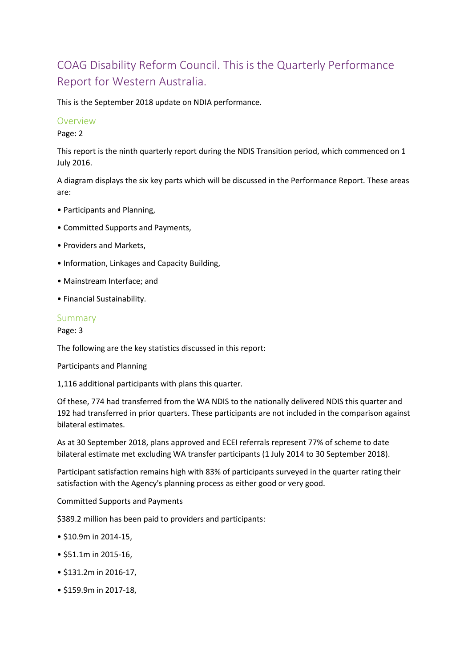# COAG Disability Reform Council. This is the Quarterly Performance Report for Western Australia.

This is the September 2018 update on NDIA performance.

#### Overview

Page: 2

This report is the ninth quarterly report during the NDIS Transition period, which commenced on 1 July 2016.

A diagram displays the six key parts which will be discussed in the Performance Report. These areas are:

- Participants and Planning,
- Committed Supports and Payments,
- Providers and Markets,
- Information, Linkages and Capacity Building,
- Mainstream Interface; and
- Financial Sustainability.

### Summary

Page: 3

The following are the key statistics discussed in this report:

Participants and Planning

1,116 additional participants with plans this quarter.

Of these, 774 had transferred from the WA NDIS to the nationally delivered NDIS this quarter and 192 had transferred in prior quarters. These participants are not included in the comparison against bilateral estimates.

As at 30 September 2018, plans approved and ECEI referrals represent 77% of scheme to date bilateral estimate met excluding WA transfer participants (1 July 2014 to 30 September 2018).

Participant satisfaction remains high with 83% of participants surveyed in the quarter rating their satisfaction with the Agency's planning process as either good or very good.

Committed Supports and Payments

\$389.2 million has been paid to providers and participants:

- \$10.9m in 2014-15,
- \$51.1m in 2015-16,
- \$131.2m in 2016-17,
- \$159.9m in 2017-18,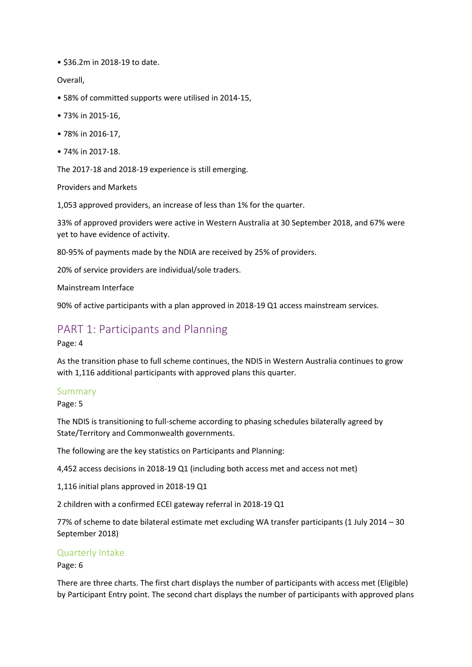• \$36.2m in 2018-19 to date.

Overall,

- 58% of committed supports were utilised in 2014-15,
- 73% in 2015-16,
- 78% in 2016-17,
- 74% in 2017-18.

The 2017-18 and 2018-19 experience is still emerging.

Providers and Markets

1,053 approved providers, an increase of less than 1% for the quarter.

33% of approved providers were active in Western Australia at 30 September 2018, and 67% were yet to have evidence of activity.

80-95% of payments made by the NDIA are received by 25% of providers.

20% of service providers are individual/sole traders.

Mainstream Interface

90% of active participants with a plan approved in 2018-19 Q1 access mainstream services.

# PART 1: Participants and Planning

Page: 4

As the transition phase to full scheme continues, the NDIS in Western Australia continues to grow with 1,116 additional participants with approved plans this quarter.

#### Summary

Page: 5

The NDIS is transitioning to full-scheme according to phasing schedules bilaterally agreed by State/Territory and Commonwealth governments.

The following are the key statistics on Participants and Planning:

4,452 access decisions in 2018-19 Q1 (including both access met and access not met)

1,116 initial plans approved in 2018-19 Q1

2 children with a confirmed ECEI gateway referral in 2018-19 Q1

77% of scheme to date bilateral estimate met excluding WA transfer participants (1 July 2014 – 30 September 2018)

#### Quarterly Intake

Page: 6

There are three charts. The first chart displays the number of participants with access met (Eligible) by Participant Entry point. The second chart displays the number of participants with approved plans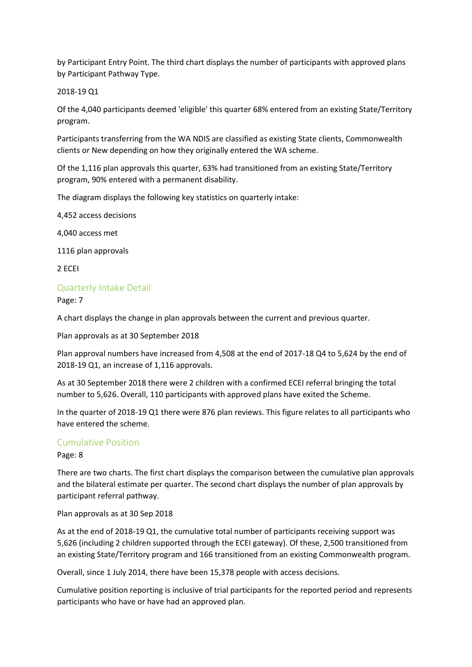by Participant Entry Point. The third chart displays the number of participants with approved plans by Participant Pathway Type.

#### 2018-19 Q1

Of the 4,040 participants deemed 'eligible' this quarter 68% entered from an existing State/Territory program.

Participants transferring from the WA NDIS are classified as existing State clients, Commonwealth clients or New depending on how they originally entered the WA scheme.

Of the 1,116 plan approvals this quarter, 63% had transitioned from an existing State/Territory program, 90% entered with a permanent disability.

The diagram displays the following key statistics on quarterly intake:

4,452 access decisions

4,040 access met

1116 plan approvals

2 ECEI

#### Quarterly Intake Detail

Page: 7

A chart displays the change in plan approvals between the current and previous quarter.

Plan approvals as at 30 September 2018

Plan approval numbers have increased from 4,508 at the end of 2017-18 Q4 to 5,624 by the end of 2018-19 Q1, an increase of 1,116 approvals.

As at 30 September 2018 there were 2 children with a confirmed ECEI referral bringing the total number to 5,626. Overall, 110 participants with approved plans have exited the Scheme.

In the quarter of 2018-19 Q1 there were 876 plan reviews. This figure relates to all participants who have entered the scheme.

#### Cumulative Position

Page: 8

There are two charts. The first chart displays the comparison between the cumulative plan approvals and the bilateral estimate per quarter. The second chart displays the number of plan approvals by participant referral pathway.

Plan approvals as at 30 Sep 2018

As at the end of 2018-19 Q1, the cumulative total number of participants receiving support was 5,626 (including 2 children supported through the ECEI gateway). Of these, 2,500 transitioned from an existing State/Territory program and 166 transitioned from an existing Commonwealth program.

Overall, since 1 July 2014, there have been 15,378 people with access decisions.

Cumulative position reporting is inclusive of trial participants for the reported period and represents participants who have or have had an approved plan.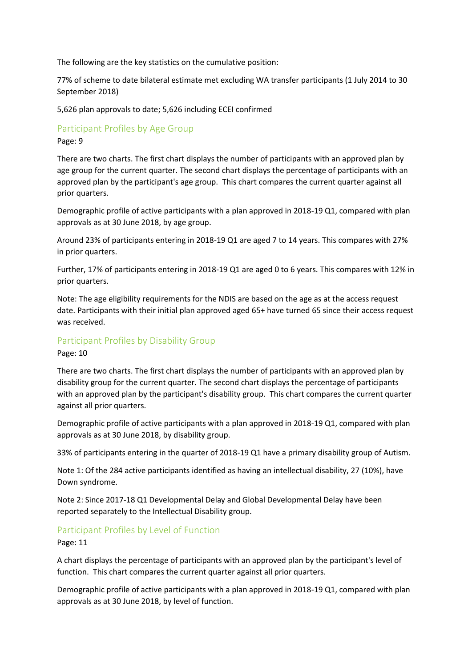The following are the key statistics on the cumulative position:

77% of scheme to date bilateral estimate met excluding WA transfer participants (1 July 2014 to 30 September 2018)

5,626 plan approvals to date; 5,626 including ECEI confirmed

Participant Profiles by Age Group

Page: 9

There are two charts. The first chart displays the number of participants with an approved plan by age group for the current quarter. The second chart displays the percentage of participants with an approved plan by the participant's age group. This chart compares the current quarter against all prior quarters.

Demographic profile of active participants with a plan approved in 2018-19 Q1, compared with plan approvals as at 30 June 2018, by age group.

Around 23% of participants entering in 2018-19 Q1 are aged 7 to 14 years. This compares with 27% in prior quarters.

Further, 17% of participants entering in 2018-19 Q1 are aged 0 to 6 years. This compares with 12% in prior quarters.

Note: The age eligibility requirements for the NDIS are based on the age as at the access request date. Participants with their initial plan approved aged 65+ have turned 65 since their access request was received.

## Participant Profiles by Disability Group

Page: 10

There are two charts. The first chart displays the number of participants with an approved plan by disability group for the current quarter. The second chart displays the percentage of participants with an approved plan by the participant's disability group. This chart compares the current quarter against all prior quarters.

Demographic profile of active participants with a plan approved in 2018-19 Q1, compared with plan approvals as at 30 June 2018, by disability group.

33% of participants entering in the quarter of 2018-19 Q1 have a primary disability group of Autism.

Note 1: Of the 284 active participants identified as having an intellectual disability, 27 (10%), have Down syndrome.

Note 2: Since 2017-18 Q1 Developmental Delay and Global Developmental Delay have been reported separately to the Intellectual Disability group.

## Participant Profiles by Level of Function

Page: 11

A chart displays the percentage of participants with an approved plan by the participant's level of function. This chart compares the current quarter against all prior quarters.

Demographic profile of active participants with a plan approved in 2018-19 Q1, compared with plan approvals as at 30 June 2018, by level of function.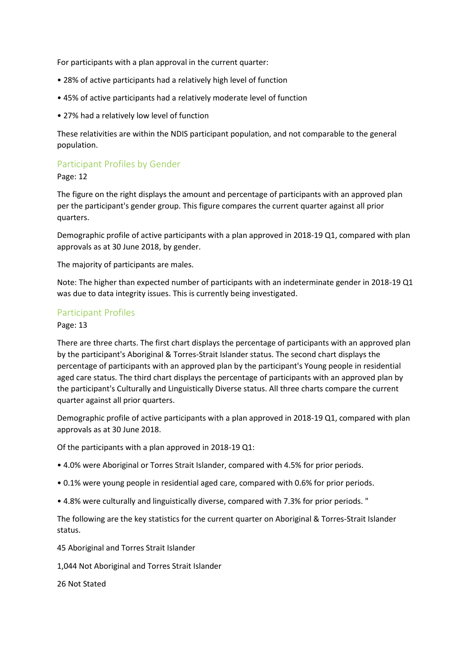For participants with a plan approval in the current quarter:

- 28% of active participants had a relatively high level of function
- 45% of active participants had a relatively moderate level of function
- 27% had a relatively low level of function

These relativities are within the NDIS participant population, and not comparable to the general population.

# Participant Profiles by Gender

Page: 12

The figure on the right displays the amount and percentage of participants with an approved plan per the participant's gender group. This figure compares the current quarter against all prior quarters.

Demographic profile of active participants with a plan approved in 2018-19 Q1, compared with plan approvals as at 30 June 2018, by gender.

The majority of participants are males.

Note: The higher than expected number of participants with an indeterminate gender in 2018-19 Q1 was due to data integrity issues. This is currently being investigated.

### Participant Profiles

Page: 13

There are three charts. The first chart displays the percentage of participants with an approved plan by the participant's Aboriginal & Torres-Strait Islander status. The second chart displays the percentage of participants with an approved plan by the participant's Young people in residential aged care status. The third chart displays the percentage of participants with an approved plan by the participant's Culturally and Linguistically Diverse status. All three charts compare the current quarter against all prior quarters.

Demographic profile of active participants with a plan approved in 2018-19 Q1, compared with plan approvals as at 30 June 2018.

Of the participants with a plan approved in 2018-19 Q1:

- 4.0% were Aboriginal or Torres Strait Islander, compared with 4.5% for prior periods.
- 0.1% were young people in residential aged care, compared with 0.6% for prior periods.
- 4.8% were culturally and linguistically diverse, compared with 7.3% for prior periods. "

The following are the key statistics for the current quarter on Aboriginal & Torres-Strait Islander status.

45 Aboriginal and Torres Strait Islander

1,044 Not Aboriginal and Torres Strait Islander

26 Not Stated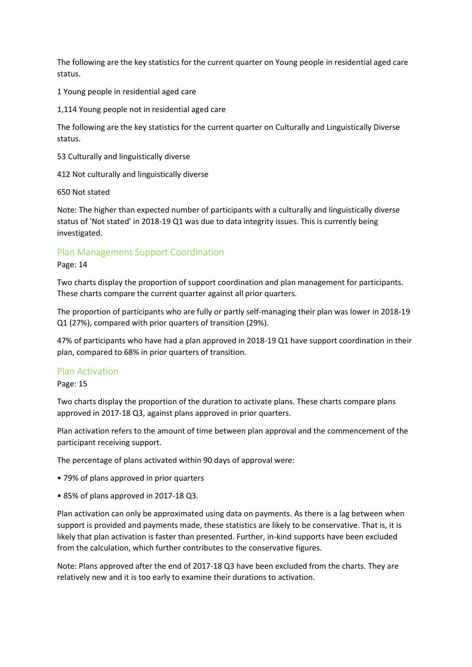The following are the key statistics for the current quarter on Young people in residential aged care status.

1 Young people in residential aged care

1,114 Young people not in residential aged care

The following are the key statistics for the current quarter on Culturally and Linguistically Diverse status.

53 Culturally and linguistically diverse

412 Not culturally and linguistically diverse

650 Not stated

Note: The higher than expected number of participants with a culturally and linguistically diverse status of 'Not stated' in 2018-19 Q1 was due to data integrity issues. This is currently being investigated.

### Plan Management Support Coordination

#### Page: 14

Two charts display the proportion of support coordination and plan management for participants. These charts compare the current quarter against all prior quarters.

The proportion of participants who are fully or partly self-managing their plan was lower in 2018-19 Q1 (27%), compared with prior quarters of transition (29%).

47% of participants who have had a plan approved in 2018-19 Q1 have support coordination in their plan, compared to 68% in prior quarters of transition.

#### Plan Activation

Page: 15

Two charts display the proportion of the duration to activate plans. These charts compare plans approved in 2017-18 Q3, against plans approved in prior quarters.

Plan activation refers to the amount of time between plan approval and the commencement of the participant receiving support.

The percentage of plans activated within 90 days of approval were:

- 79% of plans approved in prior quarters
- 85% of plans approved in 2017-18 Q3.

Plan activation can only be approximated using data on payments. As there is a lag between when support is provided and payments made, these statistics are likely to be conservative. That is, it is likely that plan activation is faster than presented. Further, in-kind supports have been excluded from the calculation, which further contributes to the conservative figures.

Note: Plans approved after the end of 2017-18 Q3 have been excluded from the charts. They are relatively new and it is too early to examine their durations to activation.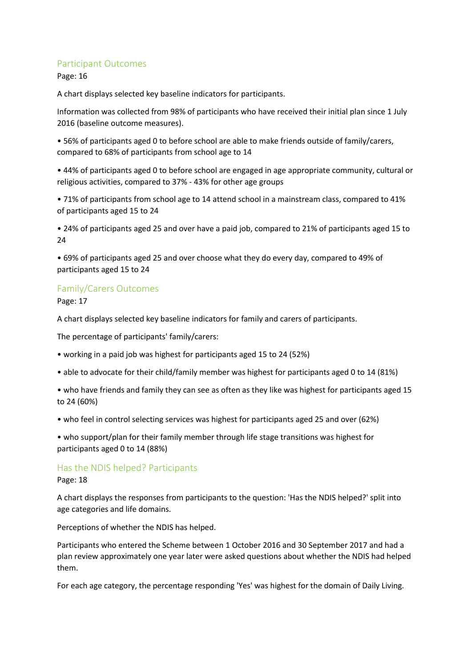### Participant Outcomes

Page: 16

A chart displays selected key baseline indicators for participants.

Information was collected from 98% of participants who have received their initial plan since 1 July 2016 (baseline outcome measures).

• 56% of participants aged 0 to before school are able to make friends outside of family/carers, compared to 68% of participants from school age to 14

• 44% of participants aged 0 to before school are engaged in age appropriate community, cultural or religious activities, compared to 37% - 43% for other age groups

• 71% of participants from school age to 14 attend school in a mainstream class, compared to 41% of participants aged 15 to 24

• 24% of participants aged 25 and over have a paid job, compared to 21% of participants aged 15 to  $24$ 

• 69% of participants aged 25 and over choose what they do every day, compared to 49% of participants aged 15 to 24

## Family/Carers Outcomes

Page: 17

A chart displays selected key baseline indicators for family and carers of participants.

The percentage of participants' family/carers:

- working in a paid job was highest for participants aged 15 to 24 (52%)
- able to advocate for their child/family member was highest for participants aged 0 to 14 (81%)
- who have friends and family they can see as often as they like was highest for participants aged 15 to 24 (60%)
- who feel in control selecting services was highest for participants aged 25 and over (62%)

• who support/plan for their family member through life stage transitions was highest for participants aged 0 to 14 (88%)

#### Has the NDIS helped? Participants

Page: 18

A chart displays the responses from participants to the question: 'Has the NDIS helped?' split into age categories and life domains.

Perceptions of whether the NDIS has helped.

Participants who entered the Scheme between 1 October 2016 and 30 September 2017 and had a plan review approximately one year later were asked questions about whether the NDIS had helped them.

For each age category, the percentage responding 'Yes' was highest for the domain of Daily Living.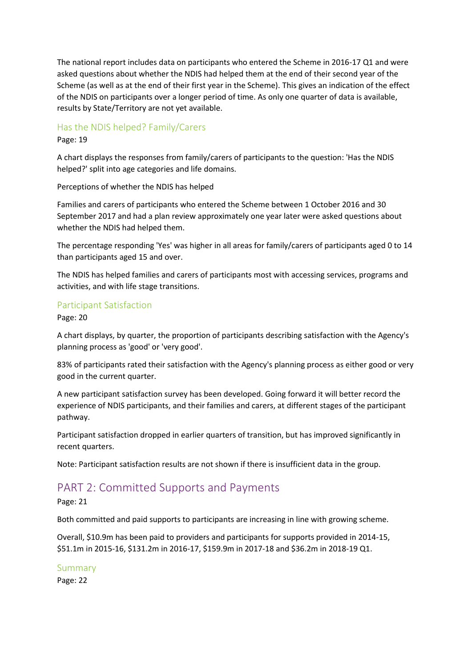The national report includes data on participants who entered the Scheme in 2016-17 Q1 and were asked questions about whether the NDIS had helped them at the end of their second year of the Scheme (as well as at the end of their first year in the Scheme). This gives an indication of the effect of the NDIS on participants over a longer period of time. As only one quarter of data is available, results by State/Territory are not yet available.

### Has the NDIS helped? Family/Carers

Page: 19

A chart displays the responses from family/carers of participants to the question: 'Has the NDIS helped?' split into age categories and life domains.

Perceptions of whether the NDIS has helped

Families and carers of participants who entered the Scheme between 1 October 2016 and 30 September 2017 and had a plan review approximately one year later were asked questions about whether the NDIS had helped them.

The percentage responding 'Yes' was higher in all areas for family/carers of participants aged 0 to 14 than participants aged 15 and over.

The NDIS has helped families and carers of participants most with accessing services, programs and activities, and with life stage transitions.

#### Participant Satisfaction

Page: 20

A chart displays, by quarter, the proportion of participants describing satisfaction with the Agency's planning process as 'good' or 'very good'.

83% of participants rated their satisfaction with the Agency's planning process as either good or very good in the current quarter.

A new participant satisfaction survey has been developed. Going forward it will better record the experience of NDIS participants, and their families and carers, at different stages of the participant pathway.

Participant satisfaction dropped in earlier quarters of transition, but has improved significantly in recent quarters.

Note: Participant satisfaction results are not shown if there is insufficient data in the group.

# PART 2: Committed Supports and Payments

Page: 21

Both committed and paid supports to participants are increasing in line with growing scheme.

Overall, \$10.9m has been paid to providers and participants for supports provided in 2014-15, \$51.1m in 2015-16, \$131.2m in 2016-17, \$159.9m in 2017-18 and \$36.2m in 2018-19 Q1.

Summary

Page: 22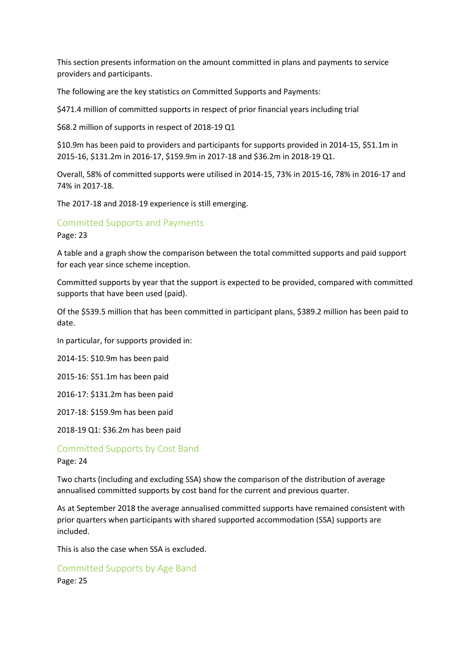This section presents information on the amount committed in plans and payments to service providers and participants.

The following are the key statistics on Committed Supports and Payments:

\$471.4 million of committed supports in respect of prior financial years including trial

\$68.2 million of supports in respect of 2018-19 Q1

\$10.9m has been paid to providers and participants for supports provided in 2014-15, \$51.1m in 2015-16, \$131.2m in 2016-17, \$159.9m in 2017-18 and \$36.2m in 2018-19 Q1.

Overall, 58% of committed supports were utilised in 2014-15, 73% in 2015-16, 78% in 2016-17 and 74% in 2017-18.

The 2017-18 and 2018-19 experience is still emerging.

#### Committed Supports and Payments

Page: 23

A table and a graph show the comparison between the total committed supports and paid support for each year since scheme inception.

Committed supports by year that the support is expected to be provided, compared with committed supports that have been used (paid).

Of the \$539.5 million that has been committed in participant plans, \$389.2 million has been paid to date.

In particular, for supports provided in:

2014-15: \$10.9m has been paid

2015-16: \$51.1m has been paid

2016-17: \$131.2m has been paid

2017-18: \$159.9m has been paid

2018-19 Q1: \$36.2m has been paid

#### Committed Supports by Cost Band

Page: 24

Two charts (including and excluding SSA) show the comparison of the distribution of average annualised committed supports by cost band for the current and previous quarter.

As at September 2018 the average annualised committed supports have remained consistent with prior quarters when participants with shared supported accommodation (SSA) supports are included.

This is also the case when SSA is excluded.

## Committed Supports by Age Band Page: 25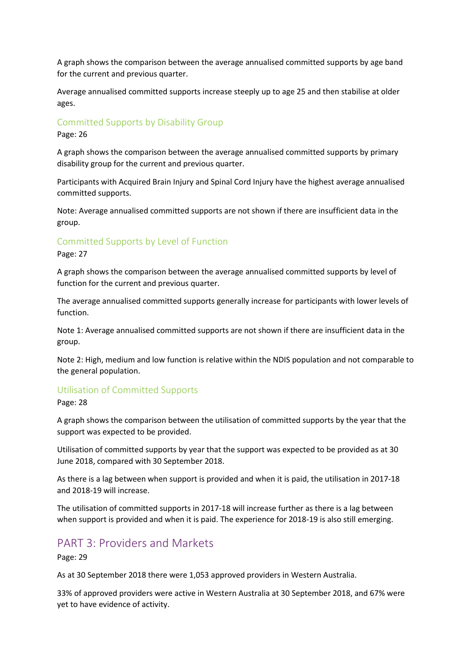A graph shows the comparison between the average annualised committed supports by age band for the current and previous quarter.

Average annualised committed supports increase steeply up to age 25 and then stabilise at older ages.

### Committed Supports by Disability Group

Page: 26

A graph shows the comparison between the average annualised committed supports by primary disability group for the current and previous quarter.

Participants with Acquired Brain Injury and Spinal Cord Injury have the highest average annualised committed supports.

Note: Average annualised committed supports are not shown if there are insufficient data in the group.

### Committed Supports by Level of Function

Page: 27

A graph shows the comparison between the average annualised committed supports by level of function for the current and previous quarter.

The average annualised committed supports generally increase for participants with lower levels of function.

Note 1: Average annualised committed supports are not shown if there are insufficient data in the group.

Note 2: High, medium and low function is relative within the NDIS population and not comparable to the general population.

#### Utilisation of Committed Supports

Page: 28

A graph shows the comparison between the utilisation of committed supports by the year that the support was expected to be provided.

Utilisation of committed supports by year that the support was expected to be provided as at 30 June 2018, compared with 30 September 2018.

As there is a lag between when support is provided and when it is paid, the utilisation in 2017-18 and 2018-19 will increase.

The utilisation of committed supports in 2017-18 will increase further as there is a lag between when support is provided and when it is paid. The experience for 2018-19 is also still emerging.

## PART 3: Providers and Markets

Page: 29

As at 30 September 2018 there were 1,053 approved providers in Western Australia.

33% of approved providers were active in Western Australia at 30 September 2018, and 67% were yet to have evidence of activity.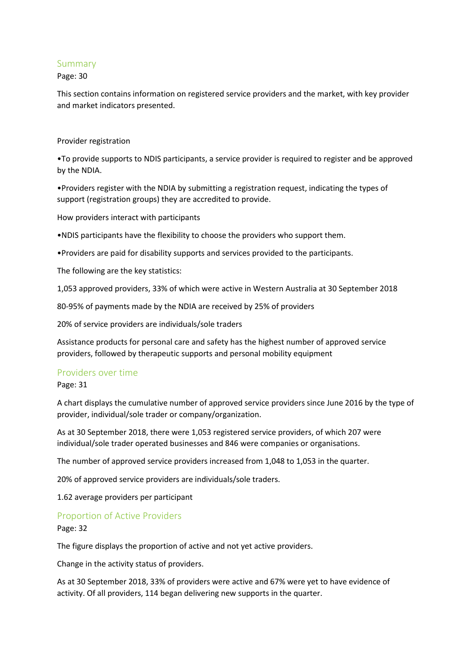#### Summary

#### Page: 30

This section contains information on registered service providers and the market, with key provider and market indicators presented.

#### Provider registration

•To provide supports to NDIS participants, a service provider is required to register and be approved by the NDIA.

•Providers register with the NDIA by submitting a registration request, indicating the types of support (registration groups) they are accredited to provide.

How providers interact with participants

•NDIS participants have the flexibility to choose the providers who support them.

•Providers are paid for disability supports and services provided to the participants.

The following are the key statistics:

1,053 approved providers, 33% of which were active in Western Australia at 30 September 2018

80-95% of payments made by the NDIA are received by 25% of providers

20% of service providers are individuals/sole traders

Assistance products for personal care and safety has the highest number of approved service providers, followed by therapeutic supports and personal mobility equipment

#### Providers over time

Page: 31

A chart displays the cumulative number of approved service providers since June 2016 by the type of provider, individual/sole trader or company/organization.

As at 30 September 2018, there were 1,053 registered service providers, of which 207 were individual/sole trader operated businesses and 846 were companies or organisations.

The number of approved service providers increased from 1,048 to 1,053 in the quarter.

20% of approved service providers are individuals/sole traders.

1.62 average providers per participant

#### Proportion of Active Providers

Page: 32

The figure displays the proportion of active and not yet active providers.

Change in the activity status of providers.

As at 30 September 2018, 33% of providers were active and 67% were yet to have evidence of activity. Of all providers, 114 began delivering new supports in the quarter.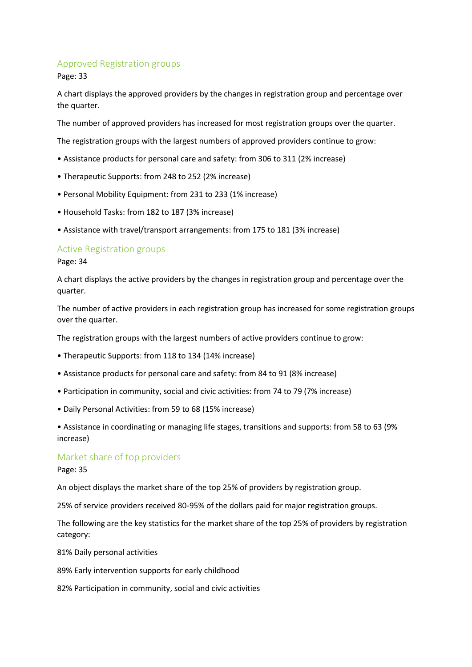### Approved Registration groups

Page: 33

A chart displays the approved providers by the changes in registration group and percentage over the quarter.

The number of approved providers has increased for most registration groups over the quarter.

The registration groups with the largest numbers of approved providers continue to grow:

- Assistance products for personal care and safety: from 306 to 311 (2% increase)
- Therapeutic Supports: from 248 to 252 (2% increase)
- Personal Mobility Equipment: from 231 to 233 (1% increase)
- Household Tasks: from 182 to 187 (3% increase)
- Assistance with travel/transport arrangements: from 175 to 181 (3% increase)

#### Active Registration groups

Page: 34

A chart displays the active providers by the changes in registration group and percentage over the quarter.

The number of active providers in each registration group has increased for some registration groups over the quarter.

The registration groups with the largest numbers of active providers continue to grow:

- Therapeutic Supports: from 118 to 134 (14% increase)
- Assistance products for personal care and safety: from 84 to 91 (8% increase)
- Participation in community, social and civic activities: from 74 to 79 (7% increase)
- Daily Personal Activities: from 59 to 68 (15% increase)

• Assistance in coordinating or managing life stages, transitions and supports: from 58 to 63 (9% increase)

#### Market share of top providers

Page: 35

An object displays the market share of the top 25% of providers by registration group.

25% of service providers received 80-95% of the dollars paid for major registration groups.

The following are the key statistics for the market share of the top 25% of providers by registration category:

81% Daily personal activities

89% Early intervention supports for early childhood

82% Participation in community, social and civic activities